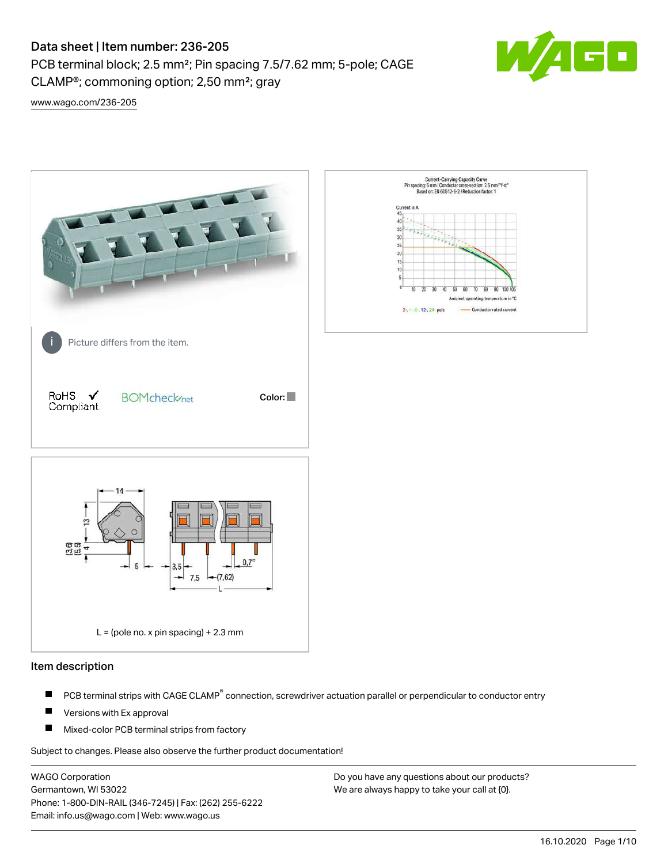# Data sheet | Item number: 236-205

PCB terminal block; 2.5 mm²; Pin spacing 7.5/7.62 mm; 5-pole; CAGE CLAMP®; commoning option; 2,50 mm²; gray



[www.wago.com/236-205](http://www.wago.com/236-205)



## Item description

- PCB terminal strips with CAGE CLAMP<sup>®</sup> connection, screwdriver actuation parallel or perpendicular to conductor entry П
- П Versions with Ex approval
- П Mixed-color PCB terminal strips from factory

Subject to changes. Please also observe the further product documentation!

WAGO Corporation Germantown, WI 53022 Phone: 1-800-DIN-RAIL (346-7245) | Fax: (262) 255-6222 Email: info.us@wago.com | Web: www.wago.us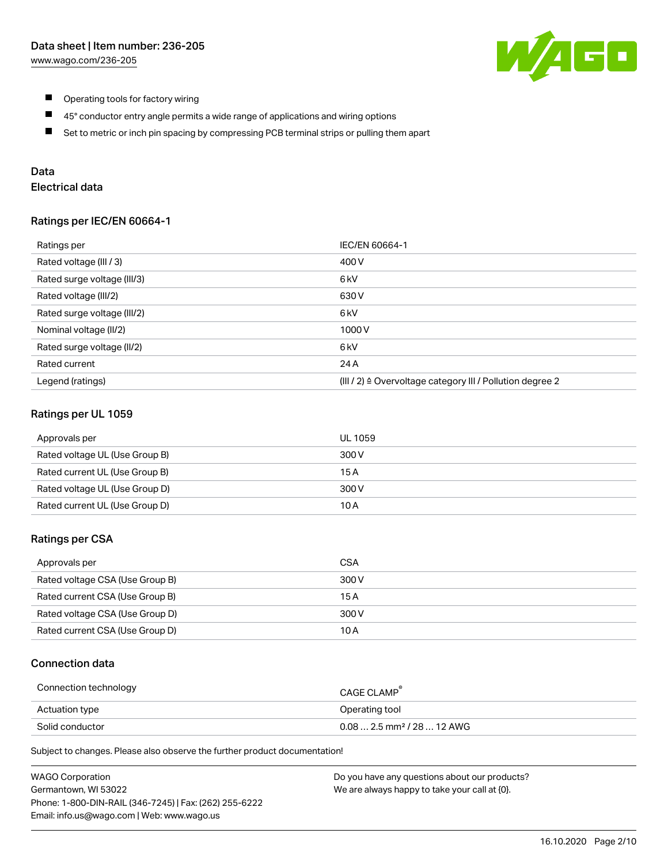

- $\blacksquare$ Operating tools for factory wiring
- $\blacksquare$ 45° conductor entry angle permits a wide range of applications and wiring options
- $\blacksquare$ Set to metric or inch pin spacing by compressing PCB terminal strips or pulling them apart

# Data

# Electrical data

## Ratings per IEC/EN 60664-1

| Ratings per                 | IEC/EN 60664-1                                                        |
|-----------------------------|-----------------------------------------------------------------------|
| Rated voltage (III / 3)     | 400 V                                                                 |
| Rated surge voltage (III/3) | 6 kV                                                                  |
| Rated voltage (III/2)       | 630 V                                                                 |
| Rated surge voltage (III/2) | 6 <sub>k</sub> V                                                      |
| Nominal voltage (II/2)      | 1000 V                                                                |
| Rated surge voltage (II/2)  | 6 kV                                                                  |
| Rated current               | 24 A                                                                  |
| Legend (ratings)            | $(III / 2)$ $\triangle$ Overvoltage category III / Pollution degree 2 |

## Ratings per UL 1059

| Approvals per                  | UL 1059 |
|--------------------------------|---------|
| Rated voltage UL (Use Group B) | 300 V   |
| Rated current UL (Use Group B) | 15 A    |
| Rated voltage UL (Use Group D) | 300 V   |
| Rated current UL (Use Group D) | 10 A    |

## Ratings per CSA

| Approvals per                   | CSA   |
|---------------------------------|-------|
| Rated voltage CSA (Use Group B) | 300 V |
| Rated current CSA (Use Group B) | 15 A  |
| Rated voltage CSA (Use Group D) | 300 V |
| Rated current CSA (Use Group D) | 10 A  |

### Connection data

| Connection technology | CAGE CLAMP                              |
|-----------------------|-----------------------------------------|
| Actuation type        | Operating tool                          |
| Solid conductor       | $0.08$ 2.5 mm <sup>2</sup> / 28  12 AWG |

Subject to changes. Please also observe the further product documentation!

| <b>WAGO Corporation</b>                                | Do you have any questions about our products? |
|--------------------------------------------------------|-----------------------------------------------|
| Germantown, WI 53022                                   | We are always happy to take your call at {0}. |
| Phone: 1-800-DIN-RAIL (346-7245)   Fax: (262) 255-6222 |                                               |
| Email: info.us@wago.com   Web: www.wago.us             |                                               |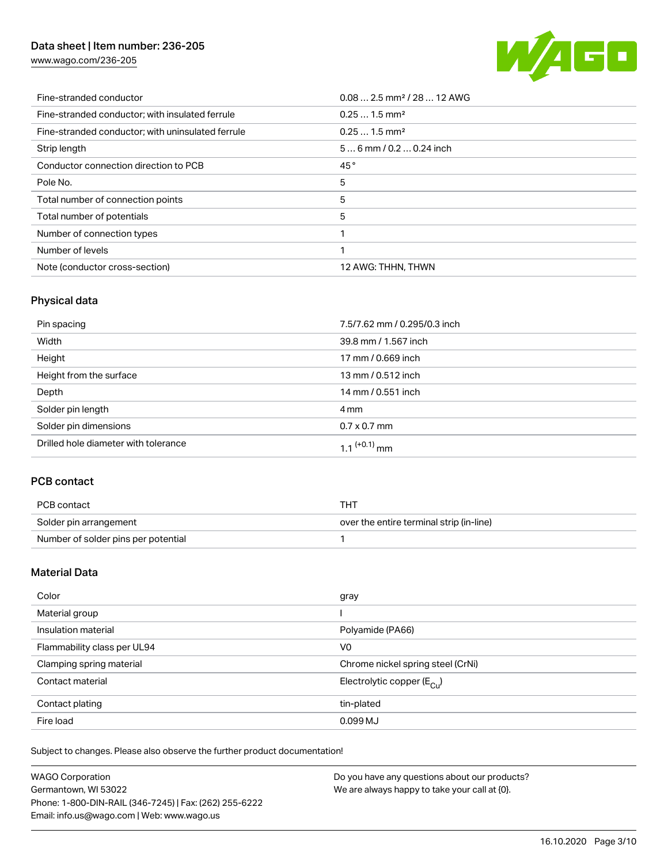# Data sheet | Item number: 236-205

[www.wago.com/236-205](http://www.wago.com/236-205)



| Fine-stranded conductor                           | $0.08$ 2.5 mm <sup>2</sup> / 28  12 AWG |
|---------------------------------------------------|-----------------------------------------|
| Fine-stranded conductor; with insulated ferrule   | $0.251.5$ mm <sup>2</sup>               |
| Fine-stranded conductor; with uninsulated ferrule | $0.251.5$ mm <sup>2</sup>               |
| Strip length                                      | $56$ mm $/ 0.20.24$ inch                |
| Conductor connection direction to PCB             | 45°                                     |
| Pole No.                                          | 5                                       |
| Total number of connection points                 | 5                                       |
| Total number of potentials                        | 5                                       |
| Number of connection types                        |                                         |
| Number of levels                                  |                                         |
| Note (conductor cross-section)                    | 12 AWG: THHN, THWN                      |

# Physical data

| Pin spacing                          | 7.5/7.62 mm / 0.295/0.3 inch |
|--------------------------------------|------------------------------|
| Width                                | 39.8 mm / 1.567 inch         |
| Height                               | 17 mm / 0.669 inch           |
| Height from the surface              | 13 mm / 0.512 inch           |
| Depth                                | 14 mm / 0.551 inch           |
| Solder pin length                    | 4 mm                         |
| Solder pin dimensions                | $0.7 \times 0.7$ mm          |
| Drilled hole diameter with tolerance | $1.1$ <sup>(+0.1)</sup> mm   |

# PCB contact

| PCB contact                         | THT                                      |
|-------------------------------------|------------------------------------------|
| Solder pin arrangement              | over the entire terminal strip (in-line) |
| Number of solder pins per potential |                                          |

# Material Data

| Color                       | gray                                    |
|-----------------------------|-----------------------------------------|
| Material group              |                                         |
| Insulation material         | Polyamide (PA66)                        |
| Flammability class per UL94 | V <sub>0</sub>                          |
| Clamping spring material    | Chrome nickel spring steel (CrNi)       |
| Contact material            | Electrolytic copper ( $E_{\text{Cu}}$ ) |
| Contact plating             | tin-plated                              |
| Fire load                   | 0.099 MJ                                |

Subject to changes. Please also observe the further product documentation!

| <b>WAGO Corporation</b>                                | Do you have any questions about our products? |
|--------------------------------------------------------|-----------------------------------------------|
| Germantown, WI 53022                                   | We are always happy to take your call at {0}. |
| Phone: 1-800-DIN-RAIL (346-7245)   Fax: (262) 255-6222 |                                               |
| Email: info.us@wago.com   Web: www.wago.us             |                                               |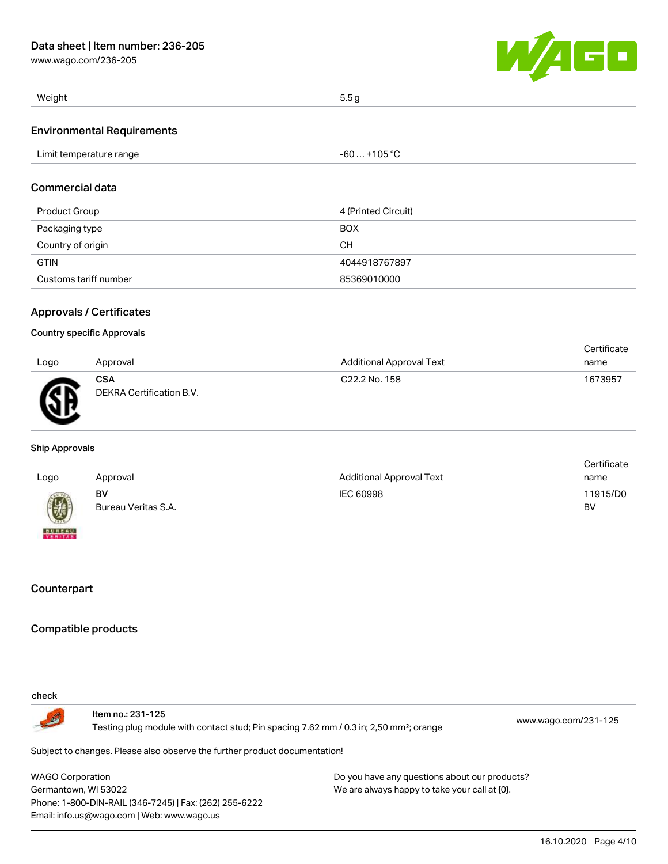

| Weight                            | 5.5g         |
|-----------------------------------|--------------|
| <b>Environmental Requirements</b> |              |
| Limit temperature range           | -60  +105 °C |

# Commercial data

| Product Group         | 4 (Printed Circuit) |
|-----------------------|---------------------|
| Packaging type        | <b>BOX</b>          |
| Country of origin     | CН                  |
| <b>GTIN</b>           | 4044918767897       |
| Customs tariff number | 85369010000         |

## Approvals / Certificates

#### Country specific Approvals

|      |                                        |                           | Certificate |
|------|----------------------------------------|---------------------------|-------------|
| Logo | Approval                               | Additional Approval Text  | name        |
| Ж    | <b>CSA</b><br>DEKRA Certification B.V. | C <sub>22.2</sub> No. 158 | 1673957     |

#### Ship Approvals

| Logo                     | Approval                  | <b>Additional Approval Text</b> | Certificate<br>name |
|--------------------------|---------------------------|---------------------------------|---------------------|
|                          | BV<br>Bureau Veritas S.A. | IEC 60998                       | 11915/D0<br>BV      |
| <b>BUREAU</b><br>VERITAS |                           |                                 |                     |

# **Counterpart**

## Compatible products

## check

Item no.: 231-125 Testing plug module with contact stud; Pin spacing 7.62 mm / 0.3 in; 2,50 mm²; orange [www.wago.com/231-125](http://www.wago.com/231-125)

Subject to changes. Please also observe the further product documentation!

WAGO Corporation Germantown, WI 53022 Phone: 1-800-DIN-RAIL (346-7245) | Fax: (262) 255-6222 Email: info.us@wago.com | Web: www.wago.us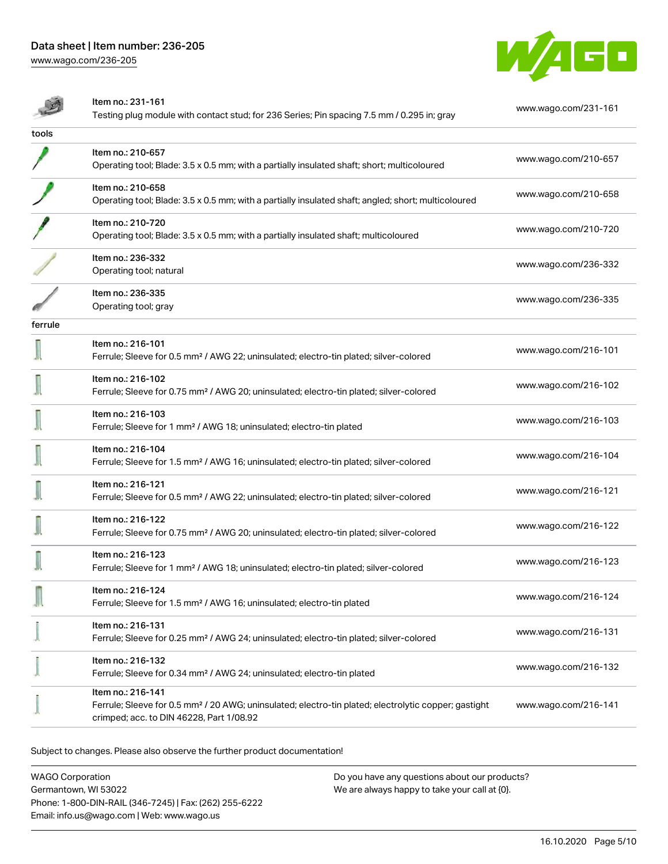

|         | Item no.: 231-161<br>Testing plug module with contact stud; for 236 Series; Pin spacing 7.5 mm / 0.295 in; gray                                                                   | www.wago.com/231-161 |
|---------|-----------------------------------------------------------------------------------------------------------------------------------------------------------------------------------|----------------------|
| tools   |                                                                                                                                                                                   |                      |
|         | Item no.: 210-657<br>Operating tool; Blade: 3.5 x 0.5 mm; with a partially insulated shaft; short; multicoloured                                                                  | www.wago.com/210-657 |
|         | Item no.: 210-658<br>Operating tool; Blade: 3.5 x 0.5 mm; with a partially insulated shaft; angled; short; multicoloured                                                          | www.wago.com/210-658 |
|         | Item no.: 210-720<br>Operating tool; Blade: 3.5 x 0.5 mm; with a partially insulated shaft; multicoloured                                                                         | www.wago.com/210-720 |
|         | Item no.: 236-332<br>Operating tool; natural                                                                                                                                      | www.wago.com/236-332 |
|         | Item no.: 236-335<br>Operating tool; gray                                                                                                                                         | www.wago.com/236-335 |
| ferrule |                                                                                                                                                                                   |                      |
|         | Item no.: 216-101<br>Ferrule; Sleeve for 0.5 mm <sup>2</sup> / AWG 22; uninsulated; electro-tin plated; silver-colored                                                            | www.wago.com/216-101 |
|         | Item no.: 216-102<br>Ferrule; Sleeve for 0.75 mm <sup>2</sup> / AWG 20; uninsulated; electro-tin plated; silver-colored                                                           | www.wago.com/216-102 |
|         | Item no.: 216-103<br>Ferrule; Sleeve for 1 mm <sup>2</sup> / AWG 18; uninsulated; electro-tin plated                                                                              | www.wago.com/216-103 |
|         | Item no.: 216-104<br>Ferrule; Sleeve for 1.5 mm <sup>2</sup> / AWG 16; uninsulated; electro-tin plated; silver-colored                                                            | www.wago.com/216-104 |
|         | Item no.: 216-121<br>Ferrule; Sleeve for 0.5 mm <sup>2</sup> / AWG 22; uninsulated; electro-tin plated; silver-colored                                                            | www.wago.com/216-121 |
|         | Item no.: 216-122<br>Ferrule; Sleeve for 0.75 mm <sup>2</sup> / AWG 20; uninsulated; electro-tin plated; silver-colored                                                           | www.wago.com/216-122 |
|         | Item no.: 216-123<br>Ferrule; Sleeve for 1 mm <sup>2</sup> / AWG 18; uninsulated; electro-tin plated; silver-colored                                                              | www.wago.com/216-123 |
|         | Item no.: 216-124<br>Ferrule; Sleeve for 1.5 mm <sup>2</sup> / AWG 16; uninsulated; electro-tin plated                                                                            | www.wago.com/216-124 |
|         | Item no.: 216-131<br>Ferrule; Sleeve for 0.25 mm <sup>2</sup> / AWG 24; uninsulated; electro-tin plated; silver-colored                                                           | www.wago.com/216-131 |
|         | Item no.: 216-132<br>Ferrule; Sleeve for 0.34 mm <sup>2</sup> / AWG 24; uninsulated; electro-tin plated                                                                           | www.wago.com/216-132 |
|         | Item no.: 216-141<br>Ferrule; Sleeve for 0.5 mm <sup>2</sup> / 20 AWG; uninsulated; electro-tin plated; electrolytic copper; gastight<br>crimped; acc. to DIN 46228, Part 1/08.92 | www.wago.com/216-141 |
|         |                                                                                                                                                                                   |                      |

Subject to changes. Please also observe the further product documentation!

WAGO Corporation Germantown, WI 53022 Phone: 1-800-DIN-RAIL (346-7245) | Fax: (262) 255-6222 Email: info.us@wago.com | Web: www.wago.us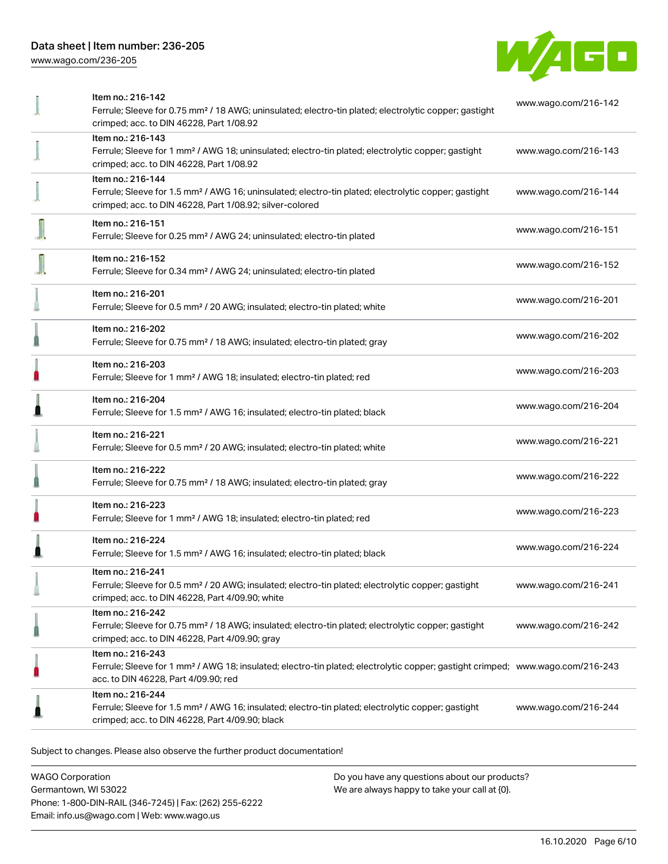

| Item no.: 216-142<br>Ferrule; Sleeve for 0.75 mm <sup>2</sup> / 18 AWG; uninsulated; electro-tin plated; electrolytic copper; gastight                                             | www.wago.com/216-142 |
|------------------------------------------------------------------------------------------------------------------------------------------------------------------------------------|----------------------|
| crimped; acc. to DIN 46228, Part 1/08.92                                                                                                                                           |                      |
| Item no.: 216-143<br>Ferrule; Sleeve for 1 mm <sup>2</sup> / AWG 18; uninsulated; electro-tin plated; electrolytic copper; gastight                                                | www.wago.com/216-143 |
| crimped; acc. to DIN 46228, Part 1/08.92                                                                                                                                           |                      |
| Item no.: 216-144                                                                                                                                                                  |                      |
| Ferrule; Sleeve for 1.5 mm <sup>2</sup> / AWG 16; uninsulated; electro-tin plated; electrolytic copper; gastight<br>crimped; acc. to DIN 46228, Part 1/08.92; silver-colored       | www.wago.com/216-144 |
| Item no.: 216-151                                                                                                                                                                  | www.wago.com/216-151 |
| Ferrule; Sleeve for 0.25 mm <sup>2</sup> / AWG 24; uninsulated; electro-tin plated                                                                                                 |                      |
| Item no.: 216-152                                                                                                                                                                  | www.wago.com/216-152 |
| Ferrule; Sleeve for 0.34 mm <sup>2</sup> / AWG 24; uninsulated; electro-tin plated                                                                                                 |                      |
| Item no.: 216-201                                                                                                                                                                  | www.wago.com/216-201 |
| Ferrule; Sleeve for 0.5 mm <sup>2</sup> / 20 AWG; insulated; electro-tin plated; white                                                                                             |                      |
| Item no.: 216-202<br>Ferrule; Sleeve for 0.75 mm <sup>2</sup> / 18 AWG; insulated; electro-tin plated; gray                                                                        | www.wago.com/216-202 |
| Item no.: 216-203                                                                                                                                                                  |                      |
| Ferrule; Sleeve for 1 mm <sup>2</sup> / AWG 18; insulated; electro-tin plated; red                                                                                                 | www.wago.com/216-203 |
| Item no.: 216-204                                                                                                                                                                  | www.wago.com/216-204 |
| Ferrule; Sleeve for 1.5 mm <sup>2</sup> / AWG 16; insulated; electro-tin plated; black                                                                                             |                      |
| Item no.: 216-221                                                                                                                                                                  | www.wago.com/216-221 |
| Ferrule; Sleeve for 0.5 mm <sup>2</sup> / 20 AWG; insulated; electro-tin plated; white                                                                                             |                      |
| Item no.: 216-222                                                                                                                                                                  | www.wago.com/216-222 |
| Ferrule; Sleeve for 0.75 mm <sup>2</sup> / 18 AWG; insulated; electro-tin plated; gray                                                                                             |                      |
| Item no.: 216-223                                                                                                                                                                  | www.wago.com/216-223 |
| Ferrule; Sleeve for 1 mm <sup>2</sup> / AWG 18; insulated; electro-tin plated; red                                                                                                 |                      |
| Item no.: 216-224                                                                                                                                                                  | www.wago.com/216-224 |
| Ferrule; Sleeve for 1.5 mm <sup>2</sup> / AWG 16; insulated; electro-tin plated; black                                                                                             |                      |
| Item no.: 216-241<br>Ferrule; Sleeve for 0.5 mm <sup>2</sup> / 20 AWG; insulated; electro-tin plated; electrolytic copper; gastight                                                | www.wago.com/216-241 |
| crimped; acc. to DIN 46228, Part 4/09.90; white                                                                                                                                    |                      |
| Item no.: 216-242                                                                                                                                                                  |                      |
| Ferrule; Sleeve for 0.75 mm <sup>2</sup> / 18 AWG; insulated; electro-tin plated; electrolytic copper; gastight<br>crimped; acc. to DIN 46228, Part 4/09.90; gray                  | www.wago.com/216-242 |
| Item no.: 216-243                                                                                                                                                                  |                      |
| Ferrule; Sleeve for 1 mm <sup>2</sup> / AWG 18; insulated; electro-tin plated; electrolytic copper; gastight crimped; www.wago.com/216-243<br>acc. to DIN 46228, Part 4/09.90; red |                      |
| Item no.: 216-244                                                                                                                                                                  |                      |
| Ferrule; Sleeve for 1.5 mm <sup>2</sup> / AWG 16; insulated; electro-tin plated; electrolytic copper; gastight<br>crimped; acc. to DIN 46228, Part 4/09.90; black                  | www.wago.com/216-244 |
|                                                                                                                                                                                    |                      |

Subject to changes. Please also observe the further product documentation!

WAGO Corporation Germantown, WI 53022 Phone: 1-800-DIN-RAIL (346-7245) | Fax: (262) 255-6222 Email: info.us@wago.com | Web: www.wago.us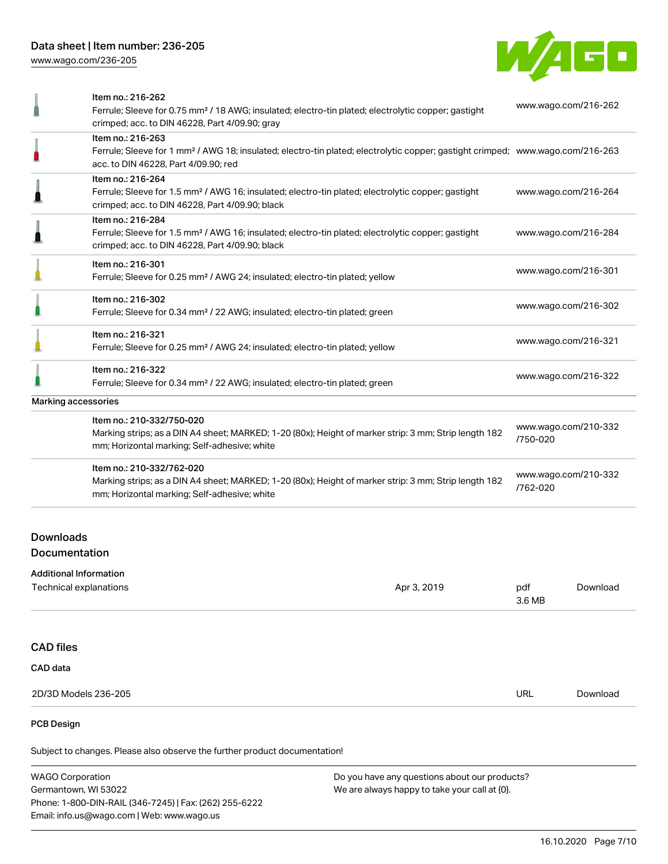

| www.wago.com/216-264<br>www.wago.com/216-284<br>www.wago.com/216-301<br>www.wago.com/216-302<br>www.wago.com/216-321<br>www.wago.com/216-322<br>www.wago.com/210-332<br>/750-020<br>www.wago.com/210-332<br>/762-020 |                                                                           | Item no.: 216-262<br>Ferrule; Sleeve for 0.75 mm <sup>2</sup> / 18 AWG; insulated; electro-tin plated; electrolytic copper; gastight                                                                    | www.wago.com/216-262 |
|----------------------------------------------------------------------------------------------------------------------------------------------------------------------------------------------------------------------|---------------------------------------------------------------------------|---------------------------------------------------------------------------------------------------------------------------------------------------------------------------------------------------------|----------------------|
|                                                                                                                                                                                                                      |                                                                           | crimped; acc. to DIN 46228, Part 4/09.90; gray                                                                                                                                                          |                      |
|                                                                                                                                                                                                                      |                                                                           | Item no.: 216-263<br>Ferrule; Sleeve for 1 mm <sup>2</sup> / AWG 18; insulated; electro-tin plated; electrolytic copper; gastight crimped; www.wago.com/216-263<br>acc. to DIN 46228, Part 4/09.90; red |                      |
|                                                                                                                                                                                                                      |                                                                           | Item no.: 216-264<br>Ferrule; Sleeve for 1.5 mm <sup>2</sup> / AWG 16; insulated; electro-tin plated; electrolytic copper; gastight<br>crimped; acc. to DIN 46228, Part 4/09.90; black                  |                      |
|                                                                                                                                                                                                                      |                                                                           | Item no.: 216-284<br>Ferrule; Sleeve for 1.5 mm <sup>2</sup> / AWG 16; insulated; electro-tin plated; electrolytic copper; gastight<br>crimped; acc. to DIN 46228, Part 4/09.90; black                  |                      |
|                                                                                                                                                                                                                      |                                                                           | Item no.: 216-301<br>Ferrule; Sleeve for 0.25 mm <sup>2</sup> / AWG 24; insulated; electro-tin plated; yellow                                                                                           |                      |
|                                                                                                                                                                                                                      |                                                                           | Item no.: 216-302<br>Ferrule; Sleeve for 0.34 mm <sup>2</sup> / 22 AWG; insulated; electro-tin plated; green                                                                                            |                      |
|                                                                                                                                                                                                                      |                                                                           | Item no.: 216-321<br>Ferrule; Sleeve for 0.25 mm <sup>2</sup> / AWG 24; insulated; electro-tin plated; yellow                                                                                           |                      |
|                                                                                                                                                                                                                      |                                                                           | Item no.: 216-322<br>Ferrule; Sleeve for 0.34 mm <sup>2</sup> / 22 AWG; insulated; electro-tin plated; green                                                                                            |                      |
|                                                                                                                                                                                                                      | Marking accessories                                                       |                                                                                                                                                                                                         |                      |
|                                                                                                                                                                                                                      |                                                                           | Item no.: 210-332/750-020<br>Marking strips; as a DIN A4 sheet; MARKED; 1-20 (80x); Height of marker strip: 3 mm; Strip length 182<br>mm; Horizontal marking; Self-adhesive; white                      |                      |
|                                                                                                                                                                                                                      |                                                                           | Item no.: 210-332/762-020<br>Marking strips; as a DIN A4 sheet; MARKED; 1-20 (80x); Height of marker strip: 3 mm; Strip length 182<br>mm; Horizontal marking; Self-adhesive; white                      |                      |
|                                                                                                                                                                                                                      | <b>Downloads</b><br><b>Documentation</b><br><b>Additional Information</b> |                                                                                                                                                                                                         |                      |

| Technical explanations | Apr 3, 2019 | pdf<br>3.6 MB | Download |
|------------------------|-------------|---------------|----------|
|                        |             |               |          |
| <b>CAD files</b>       |             |               |          |
| CAD data               |             |               |          |
| 2D/3D Models 236-205   |             | URL           | Download |
| PCB Design             |             |               |          |

Subject to changes. Please also observe the further product documentation!

WAGO Corporation Germantown, WI 53022 Phone: 1-800-DIN-RAIL (346-7245) | Fax: (262) 255-6222 Email: info.us@wago.com | Web: www.wago.us Do you have any questions about our products? We are always happy to take your call at {0}.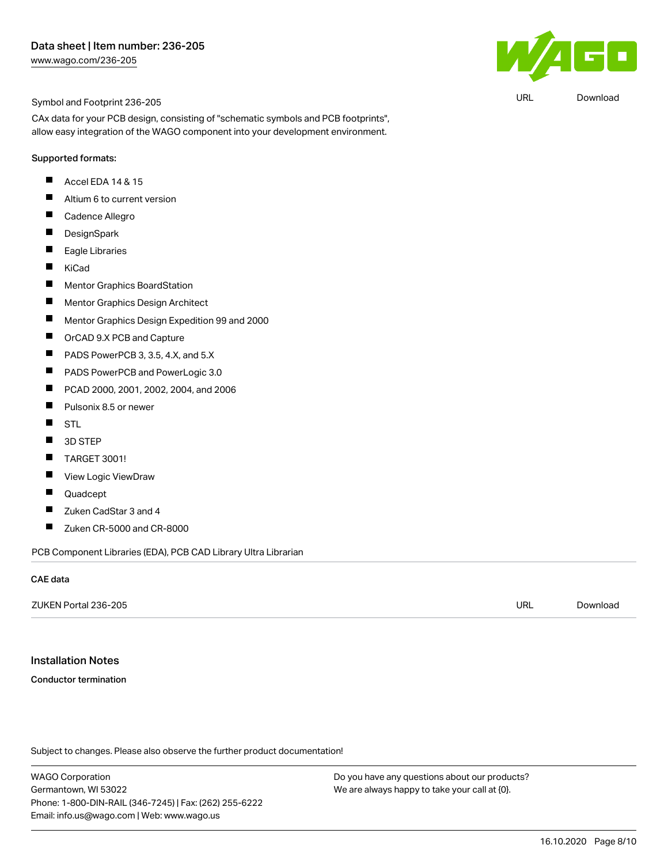

URL [Download](https://www.wago.com/us/d/UltraLibrarian_URLS_236-205)

Symbol and Footprint 236-205

CAx data for your PCB design, consisting of "schematic symbols and PCB footprints", allow easy integration of the WAGO component into your development environment.

#### Supported formats:

- Accel EDA 14 & 15 П
- П Altium 6 to current version
- П Cadence Allegro
- $\blacksquare$ **DesignSpark**
- $\blacksquare$ Eagle Libraries
- KiCad П
- П Mentor Graphics BoardStation
- П Mentor Graphics Design Architect
- П Mentor Graphics Design Expedition 99 and 2000
- П OrCAD 9.X PCB and Capture
- $\blacksquare$ PADS PowerPCB 3, 3.5, 4.X, and 5.X
- PADS PowerPCB and PowerLogic 3.0 П
- $\blacksquare$ PCAD 2000, 2001, 2002, 2004, and 2006
- П Pulsonix 8.5 or newer
- $\blacksquare$ **STL**
- 3D STEP  $\blacksquare$
- П TARGET 3001!
- View Logic ViewDraw П
- П Quadcept
- П Zuken CadStar 3 and 4
- $\blacksquare$ Zuken CR-5000 and CR-8000

PCB Component Libraries (EDA), PCB CAD Library Ultra Librarian

#### CAE data

| ZUKEN Portal 236-205 | URL<br>$\sim$ $\sim$ | Download |
|----------------------|----------------------|----------|
|                      |                      |          |

# Installation Notes

Conductor termination

Subject to changes. Please also observe the further product documentation!

WAGO Corporation Germantown, WI 53022 Phone: 1-800-DIN-RAIL (346-7245) | Fax: (262) 255-6222 Email: info.us@wago.com | Web: www.wago.us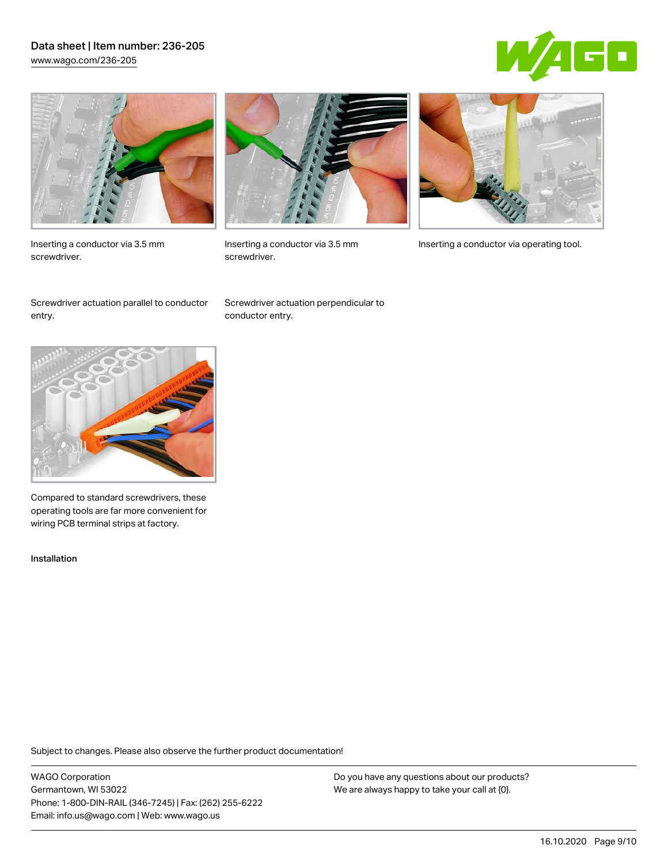## Data sheet | Item number: 236-205 [www.wago.com/236-205](http://www.wago.com/236-205)





Inserting a conductor via 3.5 mm screwdriver.



screwdriver.

Inserting a conductor via 3.5 mm Inserting a conductor via operating tool.

Screwdriver actuation parallel to conductor entry.

Screwdriver actuation perpendicular to conductor entry.



Compared to standard screwdrivers, these operating tools are far more convenient for wiring PCB terminal strips at factory.

Installation

Subject to changes. Please also observe the further product documentation!

WAGO Corporation Germantown, WI 53022 Phone: 1-800-DIN-RAIL (346-7245) | Fax: (262) 255-6222 Email: info.us@wago.com | Web: www.wago.us